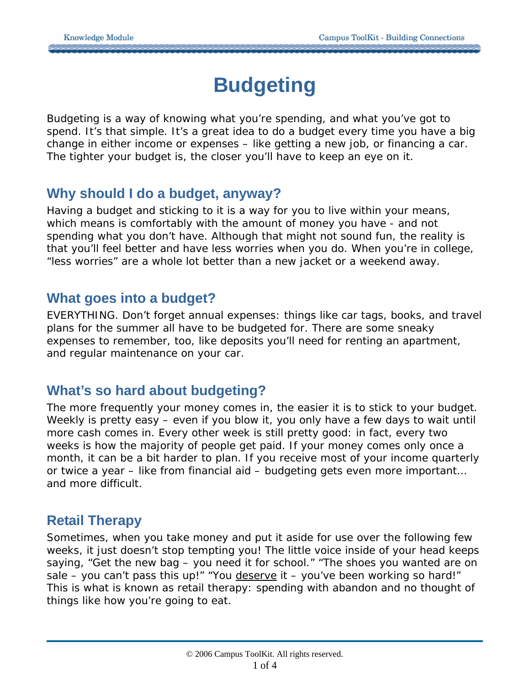# **Budgeting**

Budgeting is a way of knowing what you're spending, and what you've got to spend. It's that simple. It's a great idea to do a budget every time you have a big change in either income or expenses – like getting a new job, or financing a car. The tighter your budget is, the closer you'll have to keep an eye on it.

## **Why should I do a budget, anyway?**

Having a budget and sticking to it is a way for you to live within your means, which means is comfortably with the amount of money you have - and not spending what you don't have. Although that might not sound fun, the reality is that you'll feel better and have less worries when you do. When you're in college, "less worries" are a whole lot better than a new jacket or a weekend away.

### **What goes into a budget?**

EVERYTHING. Don't forget annual expenses: things like car tags, books, and travel plans for the summer all have to be budgeted for. There are some sneaky expenses to remember, too, like deposits you'll need for renting an apartment, and regular maintenance on your car.

## **What's so hard about budgeting?**

The more frequently your money comes in, the easier it is to stick to your budget. Weekly is pretty easy – even if you blow it, you only have a few days to wait until more cash comes in. Every other week is still pretty good: in fact, every two weeks is how the majority of people get paid. If your money comes only once a month, it can be a bit harder to plan. If you receive most of your income quarterly or twice a year – like from financial aid – budgeting gets even more important… *and more difficult*.

## **Retail Therapy**

Sometimes, when you take money and put it aside for use over the following few weeks, it just doesn't stop tempting you! The little voice inside of your head keeps saying, "Get the new bag – you need it for school." "The shoes you wanted are on sale – you can't pass this up!" "You deserve it – you've been working so hard!" This is what is known as retail therapy: spending with abandon and no thought of things like how you're going to eat.